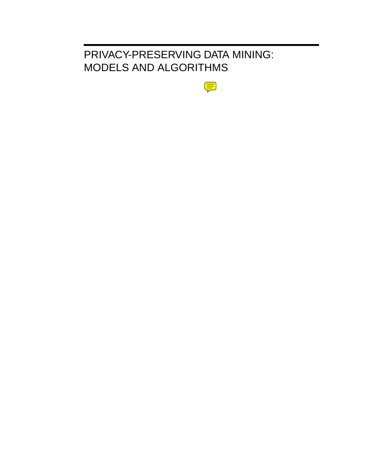## PRIVACY-PRESERVING DATA MINING: MODELS AND ALGORITHMS

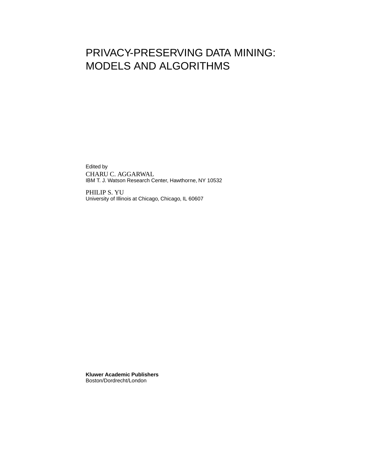## PRIVACY-PRESERVING DATA MINING: MODELS AND ALGORITHMS

Edited by CHARU C. AGGARWAL IBM T. J. Watson Research Center, Hawthorne, NY 10532

PHILIP S. YU University of Illinois at Chicago, Chicago, IL 60607

**Kluwer Academic Publishers** Boston/Dordrecht/London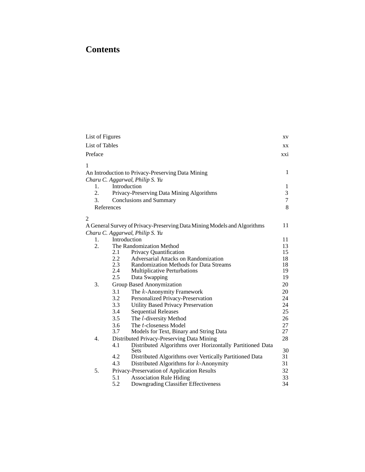## **Contents**

| List of Figures       |               |                                                                          | XV             |
|-----------------------|---------------|--------------------------------------------------------------------------|----------------|
| <b>List of Tables</b> |               |                                                                          | XX             |
| Preface               |               |                                                                          | xxi            |
| 1                     |               |                                                                          |                |
|                       |               | An Introduction to Privacy-Preserving Data Mining                        | 1              |
|                       |               | Charu C. Aggarwal, Philip S. Yu                                          |                |
| 1.                    |               | Introduction                                                             | 1              |
| 2.                    |               | Privacy-Preserving Data Mining Algorithms                                | 3              |
| 3.                    |               | <b>Conclusions and Summary</b>                                           | $\overline{7}$ |
|                       | References    |                                                                          | 8              |
| 2                     |               |                                                                          |                |
|                       |               | A General Survey of Privacy-Preserving Data Mining Models and Algorithms | 11             |
|                       |               | Charu C. Aggarwal, Philip S. Yu                                          |                |
| 1.                    |               | Introduction                                                             | 11             |
| 2.                    |               | The Randomization Method                                                 | 13             |
|                       | 2.1           | Privacy Quantification                                                   | 15             |
|                       | $2.2^{\circ}$ | Adversarial Attacks on Randomization                                     | 18             |
|                       | 2.3           | Randomization Methods for Data Streams                                   | 18<br>19       |
|                       | 2.4<br>2.5    | Multiplicative Perturbations                                             | 19             |
|                       |               | Data Swapping                                                            |                |
| 3.                    |               | Group Based Anonymization                                                | 20             |
|                       | 3.1           | The k-Anonymity Framework                                                | 20             |
|                       | 3.2<br>3.3    | Personalized Privacy-Preservation                                        | 24<br>24       |
|                       | 3.4           | <b>Utility Based Privacy Preservation</b>                                | 25             |
|                       | 3.5           | <b>Sequential Releases</b>                                               | 26             |
|                       | 3.6           | The <i>l</i> -diversity Method<br>The t-closeness Model                  | 27             |
|                       | 3.7           | Models for Text, Binary and String Data                                  | 27             |
| 4.                    |               | Distributed Privacy-Preserving Data Mining                               | 28             |
|                       | 4.1           | Distributed Algorithms over Horizontally Partitioned Data                |                |
|                       | 4.2           | <b>Sets</b><br>Distributed Algorithms over Vertically Partitioned Data   | 30<br>31       |
|                       | 4.3           | Distributed Algorithms for $k$ -Anonymity                                | 31             |
| 5.                    |               | Privacy-Preservation of Application Results                              | 32             |
|                       | 5.1           | <b>Association Rule Hiding</b>                                           | 33             |
|                       | 5.2           | Downgrading Classifier Effectiveness                                     | 34             |
|                       |               |                                                                          |                |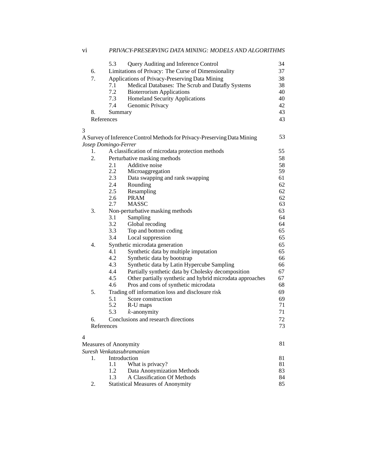|    | 5.3                   | Query Auditing and Inference Control                                     | 34 |
|----|-----------------------|--------------------------------------------------------------------------|----|
| 6. |                       | Limitations of Privacy: The Curse of Dimensionality                      | 37 |
| 7. |                       | Applications of Privacy-Preserving Data Mining                           | 38 |
|    | 7.1                   | Medical Databases: The Scrub and Datafly Systems                         | 38 |
|    | 7.2                   | <b>Bioterrorism Applications</b>                                         | 40 |
|    | 7.3                   | <b>Homeland Security Applications</b>                                    | 40 |
|    | 7.4                   | Genomic Privacy                                                          | 42 |
| 8. | Summary               |                                                                          | 43 |
|    | References            |                                                                          | 43 |
| 3  |                       |                                                                          |    |
|    |                       | A Survey of Inference Control Methods for Privacy-Preserving Data Mining | 53 |
|    | Josep Domingo-Ferrer  |                                                                          |    |
| 1. |                       | A classification of microdata protection methods                         | 55 |
| 2. |                       | Perturbative masking methods                                             | 58 |
|    | 2.1                   | Additive noise                                                           | 58 |
|    | 2.2                   | Microaggregation                                                         | 59 |
|    | 2.3                   | Data swapping and rank swapping                                          | 61 |
|    | 2.4                   | Rounding                                                                 | 62 |
|    | 2.5                   | Resampling                                                               | 62 |
|    | 2.6                   | <b>PRAM</b>                                                              | 62 |
|    | 2.7                   | <b>MASSC</b>                                                             | 63 |
| 3. |                       | Non-perturbative masking methods                                         | 63 |
|    | 3.1                   | Sampling                                                                 | 64 |
|    | 3.2                   | Global recoding                                                          | 64 |
|    | 3.3                   | Top and bottom coding                                                    | 65 |
|    | 3.4                   | Local suppression                                                        | 65 |
| 4. |                       | Synthetic microdata generation                                           | 65 |
|    | 4.1                   | Synthetic data by multiple imputation                                    | 65 |
|    | 4.2                   | Synthetic data by bootstrap                                              | 66 |
|    | 4.3                   | Synthetic data by Latin Hypercube Sampling                               | 66 |
|    | 4.4                   | Partially synthetic data by Cholesky decomposition                       | 67 |
|    | 4.5                   | Other partially synthetic and hybrid microdata approaches                | 67 |
|    | 4.6                   | Pros and cons of synthetic microdata                                     | 68 |
| 5. |                       | Trading off information loss and disclosure risk                         | 69 |
|    | 5.1                   | Score construction                                                       | 69 |
|    | 5.2                   | R-U maps                                                                 | 71 |
|    | 5.3                   | $k$ -anonymity                                                           | 71 |
| 6. |                       | Conclusions and research directions                                      | 72 |
|    | References            |                                                                          | 73 |
| 4  |                       |                                                                          |    |
|    | Measures of Anonymity |                                                                          | 81 |
|    |                       | Suresh Venkatasubramanian                                                |    |
| 1. |                       | Introduction                                                             | 81 |
|    | 1.1                   | What is privacy?                                                         | 81 |
|    | 1.2                   | Data Anonymization Methods                                               | 83 |
|    | 1.3                   | A Classification Of Methods                                              | 84 |

2. Statistical Measures of Anonymity 85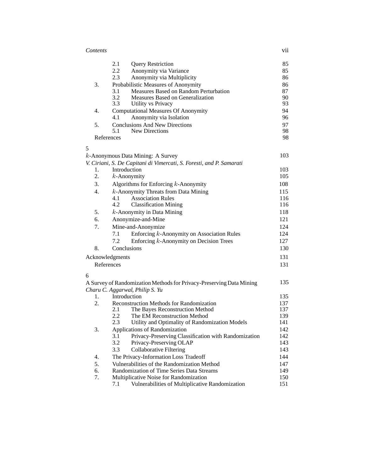| V11 |
|-----|
|     |

|   |            | 2.1<br><b>Query Restriction</b>                                      | 85  |
|---|------------|----------------------------------------------------------------------|-----|
|   |            | 2.2<br>Anonymity via Variance                                        | 85  |
|   |            | 2.3<br>Anonymity via Multiplicity                                    | 86  |
|   | 3.         | Probabilistic Measures of Anonymity                                  | 86  |
|   |            | Measures Based on Random Perturbation<br>3.1                         | 87  |
|   |            | 3.2<br>Measures Based on Generalization                              | 90  |
|   |            | 3.3<br>Utility vs Privacy                                            | 93  |
|   | 4.         | <b>Computational Measures Of Anonymity</b>                           | 94  |
|   |            | Anonymity via Isolation<br>4.1                                       | 96  |
|   | 5.         | <b>Conclusions And New Directions</b>                                | 97  |
|   |            | 5.1<br><b>New Directions</b>                                         | 98  |
|   | References |                                                                      | 98  |
| 5 |            |                                                                      |     |
|   |            | $k$ -Anonymous Data Mining: A Survey                                 | 103 |
|   |            | V. Ciriani, S. De Capitani di Vimercati, S. Foresti, and P. Samarati |     |
|   | 1.         | Introduction                                                         | 103 |
|   | 2.         | $k$ -Anonymity                                                       | 105 |
|   | 3.         | Algorithms for Enforcing $k$ -Anonymity                              | 108 |
|   | 4.         | $k$ -Anonymity Threats from Data Mining                              | 115 |
|   |            | 4.1<br><b>Association Rules</b>                                      | 116 |
|   |            | 4.2<br><b>Classification Mining</b>                                  | 116 |
|   | 5.         | $k$ -Anonymity in Data Mining                                        | 118 |
|   | 6.         | Anonymize-and-Mine                                                   | 121 |
|   | 7.         |                                                                      | 124 |
|   |            | Mine-and-Anonymize                                                   |     |
|   |            | Enforcing $k$ -Anonymity on Association Rules<br>7.1                 | 124 |
|   |            | Enforcing $k$ -Anonymity on Decision Trees<br>7.2                    | 127 |
|   | 8.         | Conclusions                                                          | 130 |
|   |            | Acknowledgments                                                      | 131 |
|   | References |                                                                      | 131 |
| 6 |            |                                                                      |     |
|   |            | A Survey of Randomization Methods for Privacy-Preserving Data Mining | 135 |
|   |            | Charu C. Aggarwal, Philip S. Yu                                      |     |
|   | 1.         | Introduction                                                         | 135 |
|   | 2.         | <b>Reconstruction Methods for Randomization</b>                      | 137 |
|   |            | The Bayes Reconstruction Method<br>2.1                               | 137 |
|   |            | 2.2<br>The EM Reconstruction Method                                  | 139 |
|   |            | 2.3<br>Utility and Optimality of Randomization Models                | 141 |
|   | 3.         | <b>Applications of Randomization</b>                                 | 142 |
|   |            | Privacy-Preserving Classification with Randomization<br>3.1          | 142 |
|   |            | 3.2<br>Privacy-Preserving OLAP                                       | 143 |
|   |            | 3.3<br><b>Collaborative Filtering</b>                                | 143 |
|   | 4.         | The Privacy-Information Loss Tradeoff                                | 144 |
|   | 5.         | Vulnerabilities of the Randomization Method                          | 147 |
|   | 6.         | Randomization of Time Series Data Streams                            | 149 |
|   | 7.         | Multiplicative Noise for Randomization                               | 150 |
|   |            | Vulnerabilities of Multiplicative Randomization<br>7.1               | 151 |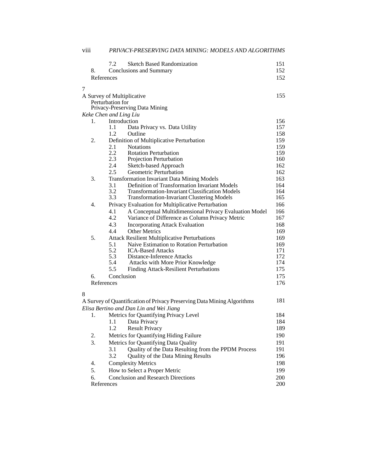|   |            | 7.2                    | <b>Sketch Based Randomization</b>                                       | 151        |
|---|------------|------------------------|-------------------------------------------------------------------------|------------|
|   | 8.         |                        | Conclusions and Summary                                                 | 152        |
|   | References |                        |                                                                         | 152        |
| 7 |            |                        |                                                                         |            |
|   |            |                        | A Survey of Multiplicative                                              | 155        |
|   |            | Perturbation for       |                                                                         |            |
|   |            |                        | Privacy-Preserving Data Mining                                          |            |
|   |            | Keke Chen and Ling Liu |                                                                         |            |
|   | 1.         | Introduction           |                                                                         | 156        |
|   |            | 1.1                    | Data Privacy vs. Data Utility                                           | 157        |
|   |            | 1.2                    | Outline                                                                 | 158        |
|   | 2.         |                        | Definition of Multiplicative Perturbation                               | 159        |
|   |            | 2.1<br>2.2             | <b>Notations</b><br><b>Rotation Perturbation</b>                        | 159<br>159 |
|   |            | 2.3                    | Projection Perturbation                                                 | 160        |
|   |            | 2.4                    | Sketch-based Approach                                                   | 162        |
|   |            | 2.5                    | Geometric Perturbation                                                  | 162        |
|   | 3.         |                        | <b>Transformation Invariant Data Mining Models</b>                      | 163        |
|   |            | 3.1                    | Definition of Transformation Invariant Models                           | 164        |
|   |            | 3.2                    | Transformation-Invariant Classification Models                          | 164        |
|   |            | 3.3                    | <b>Transformation-Invariant Clustering Models</b>                       | 165        |
|   | 4.         |                        | Privacy Evaluation for Multiplicative Perturbation                      | 166        |
|   |            | 4.1                    | A Conceptual Multidimensional Privacy Evaluation Model                  | 166        |
|   |            | 4.2                    | Variance of Difference as Column Privacy Metric                         | 167        |
|   |            | 4.3                    | <b>Incorporating Attack Evaluation</b>                                  | 168        |
|   |            | 4.4                    | <b>Other Metrics</b>                                                    | 169        |
|   | 5.         |                        | <b>Attack Resilient Multiplicative Perturbations</b>                    | 169        |
|   |            | 5.1                    | Naive Estimation to Rotation Perturbation                               | 169        |
|   |            | 5.2                    | <b>ICA-Based Attacks</b>                                                | 171        |
|   |            | 5.3                    | Distance-Inference Attacks                                              | 172        |
|   |            | 5.4                    | Attacks with More Prior Knowledge                                       | 174        |
|   |            | 5.5                    | <b>Finding Attack-Resilient Perturbations</b>                           | 175        |
|   | 6.         | Conclusion             |                                                                         | 175        |
|   | References |                        |                                                                         | 176        |
| 8 |            |                        |                                                                         |            |
|   |            |                        | A Survey of Quantification of Privacy Preserving Data Mining Algorithms | 181        |
|   |            |                        | Elisa Bertino and Dan Lin and Wei Jiang                                 |            |
|   | 1.         |                        | Metrics for Quantifying Privacy Level                                   | 184        |
|   |            | 1.1                    | Data Privacy                                                            | 184        |
|   |            | 1.2                    | <b>Result Privacy</b>                                                   | 189        |
|   | 2.         |                        | Metrics for Quantifying Hiding Failure                                  | 190        |
|   | 3.         |                        | Metrics for Quantifying Data Quality                                    | 191        |
|   |            | 3.1                    | Quality of the Data Resulting from the PPDM Process                     | 191        |
|   |            | 3.2                    | Quality of the Data Mining Results                                      | 196        |
|   | 4.         |                        | <b>Complexity Metrics</b>                                               | 198        |
|   | 5.         |                        | How to Select a Proper Metric                                           | 199        |
|   | 6.         |                        | <b>Conclusion and Research Directions</b>                               | 200        |
|   | References |                        |                                                                         | 200        |

## viii *PRIVACY-PRESERVING DATA MINING: MODELS AND ALGORITHMS*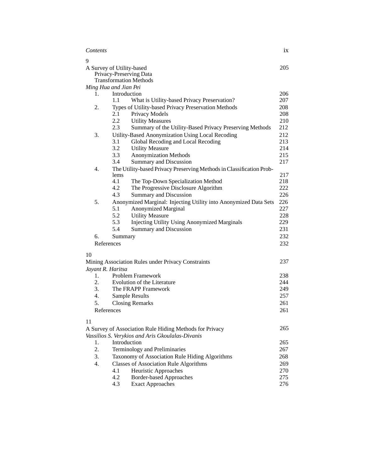| Contents                  |            |                                                                              | ix         |
|---------------------------|------------|------------------------------------------------------------------------------|------------|
| 9                         |            |                                                                              |            |
| A Survey of Utility-based |            | Privacy-Preserving Data<br><b>Transformation Methods</b>                     | 205        |
| Ming Hua and Jian Pei     |            |                                                                              |            |
| 1.                        | 1.1        | Introduction                                                                 | 206<br>207 |
|                           |            | What is Utility-based Privacy Preservation?                                  |            |
| 2.                        | 2.1        | Types of Utility-based Privacy Preservation Methods<br><b>Privacy Models</b> | 208<br>208 |
|                           | 2.2        | <b>Utility Measures</b>                                                      | 210        |
|                           | 2.3        | Summary of the Utility-Based Privacy Preserving Methods                      | 212        |
| 3.                        |            | Utility-Based Anonymization Using Local Recoding                             | 212        |
|                           | 3.1        | Global Recoding and Local Recoding                                           | 213        |
|                           | 3.2        | <b>Utility Measure</b>                                                       | 214        |
|                           | 3.3        | <b>Anonymization Methods</b>                                                 | 215        |
|                           | 3.4        | Summary and Discussion                                                       | 217        |
| 4.                        |            | The Utility-based Privacy Preserving Methods in Classification Prob-         |            |
|                           | lems       |                                                                              | 217        |
|                           | 4.1        | The Top-Down Specialization Method                                           | 218        |
|                           | 4.2        | The Progressive Disclosure Algorithm                                         | 222        |
|                           | 4.3        | <b>Summary and Discussion</b>                                                | 226        |
| 5.                        |            | Anonymized Marginal: Injecting Utility into Anonymized Data Sets             | 226        |
|                           | 5.1        | <b>Anonymized Marginal</b>                                                   | 227        |
|                           | 5.2        | <b>Utility Measure</b>                                                       | 228        |
|                           | 5.3<br>5.4 | <b>Injecting Utility Using Anonymized Marginals</b>                          | 229<br>231 |
|                           |            | Summary and Discussion                                                       |            |
| 6.                        | Summary    |                                                                              | 232        |
| References                |            |                                                                              | 232        |
| 10                        |            |                                                                              |            |
|                           |            | Mining Association Rules under Privacy Constraints                           | 237        |
| Jayant R. Haritsa         |            |                                                                              |            |
| 1.                        |            | Problem Framework                                                            | 238        |
| 2.                        |            | Evolution of the Literature                                                  | 244        |
| 3.                        |            | The FRAPP Framework                                                          | 249        |
| 4.                        |            | Sample Results                                                               | 257        |
| 5.                        |            | <b>Closing Remarks</b>                                                       | 261        |
| References                |            |                                                                              | 261        |
| 11                        |            |                                                                              |            |
|                           |            | A Survey of Association Rule Hiding Methods for Privacy                      | 265        |
|                           |            | Vassilios S. Verykios and Aris Gkoulalas-Divanis                             |            |
| 1.                        |            | <b>Introduction</b>                                                          | 265        |
| 2.                        |            | Terminology and Preliminaries                                                | 267        |
| 3.                        |            | Taxonomy of Association Rule Hiding Algorithms                               | 268        |
| 4.                        |            | <b>Classes of Association Rule Algorithms</b>                                | 269        |
|                           | 4.1        | Heuristic Approaches                                                         | 270        |
|                           | 4.2        | <b>Border-based Approaches</b>                                               | 275        |
|                           | 4.3        | <b>Exact Approaches</b>                                                      | 276        |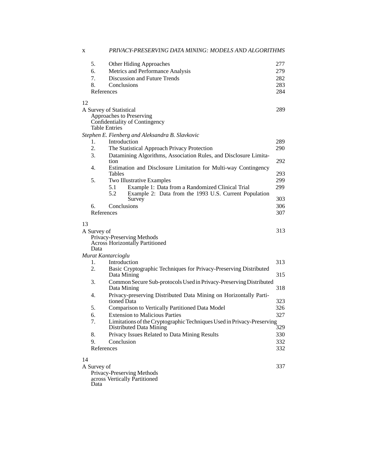| X  |                                    | PRIVACY-PRESERVING DATA MINING: MODELS AND ALGORITHMS                                                             |                                 |
|----|------------------------------------|-------------------------------------------------------------------------------------------------------------------|---------------------------------|
|    | 5.<br>6.<br>7.<br>8.<br>References | <b>Other Hiding Approaches</b><br>Metrics and Performance Analysis<br>Discussion and Future Trends<br>Conclusions | 277<br>279<br>282<br>283<br>284 |
| 12 | A Survey of Statistical            |                                                                                                                   | 289                             |
|    | Table Entries                      | Approaches to Preserving<br>Confidentiality of Contingency                                                        |                                 |
|    |                                    | Stephen E. Fienberg and Aleksandra B. Slavkovic                                                                   |                                 |
|    | 1.                                 | Introduction                                                                                                      | 289                             |
|    | 2.                                 | The Statistical Approach Privacy Protection                                                                       | 290                             |
|    | 3.<br>tion                         | Datamining Algorithms, Association Rules, and Disclosure Limita-                                                  | 292                             |
|    | 4.                                 | Estimation and Disclosure Limitation for Multi-way Contingency                                                    |                                 |
|    | Tables<br>5.                       | Two Illustrative Examples                                                                                         | 293<br>299                      |
|    | 5.1                                | Example 1: Data from a Randomized Clinical Trial                                                                  | 299                             |
|    | 5.2                                | Example 2: Data from the 1993 U.S. Current Population<br>Survey                                                   | 303                             |
|    | 6.                                 | Conclusions                                                                                                       | 306                             |
|    | References                         |                                                                                                                   | 307                             |
| 13 |                                    |                                                                                                                   |                                 |
|    | A Survey of                        |                                                                                                                   | 313                             |
|    |                                    | Privacy-Preserving Methods<br><b>Across Horizontally Partitioned</b>                                              |                                 |
|    | Data                               |                                                                                                                   |                                 |
|    | Murat Kantarcioglu                 |                                                                                                                   |                                 |
|    | 1.<br>2.                           | Introduction<br>Basic Cryptographic Techniques for Privacy-Preserving Distributed                                 | 313                             |
|    |                                    | Data Mining                                                                                                       | 315                             |
|    | 3.                                 | Common Secure Sub-protocols Used in Privacy-Preserving Distributed                                                |                                 |
|    |                                    | Data Mining                                                                                                       | 318                             |
|    | 4.                                 | Privacy-preserving Distributed Data Mining on Horizontally Parti-<br>tioned Data                                  | 323                             |
|    | 5.                                 | Comparison to Vertically Partitioned Data Model                                                                   | 326                             |
|    | 6.                                 | <b>Extension to Malicious Parties</b>                                                                             | 327                             |
|    | 7.                                 | Limitations of the Cryptographic Techniques Used in Privacy-Preserving<br>Distributed Data Mining                 | 329                             |
|    | 8.                                 | Privacy Issues Related to Data Mining Results                                                                     | 330                             |
|    | 9.                                 | Conclusion                                                                                                        | 332                             |
|    | References                         |                                                                                                                   | 332                             |
| 14 |                                    |                                                                                                                   |                                 |
|    | A Survey of                        |                                                                                                                   | 337                             |
|    |                                    | Privacy-Preserving Methods                                                                                        |                                 |
|    | Doto.                              | across Vertically Partitioned                                                                                     |                                 |

Data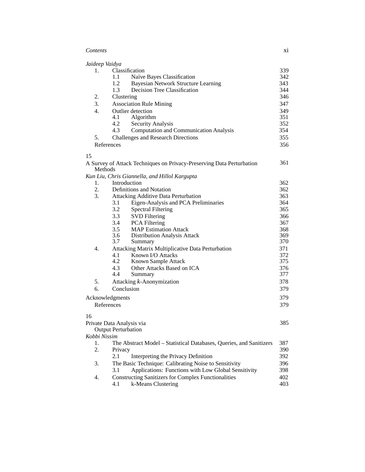| Contents | X1 |
|----------|----|
|          |    |

| Jaideep Vaidya |                                                                       |     |
|----------------|-----------------------------------------------------------------------|-----|
| 1.             | Classification                                                        | 339 |
|                | Naïve Bayes Classification<br>1.1                                     | 342 |
|                | 1.2<br><b>Bayesian Network Structure Learning</b>                     | 343 |
|                | 1.3<br>Decision Tree Classification                                   | 344 |
| 2.             | Clustering                                                            | 346 |
| 3.             | <b>Association Rule Mining</b>                                        | 347 |
| 4.             | Outlier detection                                                     | 349 |
|                | 4.1<br>Algorithm                                                      | 351 |
|                | 4.2<br>Security Analysis                                              | 352 |
|                | 4.3<br><b>Computation and Communication Analysis</b>                  | 354 |
| 5.             | <b>Challenges and Research Directions</b>                             | 355 |
|                | References                                                            | 356 |
| 15             |                                                                       |     |
| Methods        | A Survey of Attack Techniques on Privacy-Preserving Data Perturbation | 361 |
|                | Kun Liu, Chris Giannella, and Hillol Kargupta                         |     |
| 1.             | Introduction                                                          | 362 |
| 2.             | Definitions and Notation                                              | 362 |
| 3.             | <b>Attacking Additive Data Perturbation</b>                           | 363 |
|                | 3.1<br>Eigen-Analysis and PCA Preliminaries                           | 364 |
|                | 3.2<br><b>Spectral Filtering</b>                                      | 365 |
|                | 3.3<br><b>SVD</b> Filtering                                           | 366 |
|                | 3.4<br>PCA Filtering                                                  | 367 |
|                | 3.5<br><b>MAP Estimation Attack</b>                                   | 368 |
|                | 3.6<br>Distribution Analysis Attack                                   | 369 |
|                | 3.7<br>Summary                                                        | 370 |
| 4.             | Attacking Matrix Multiplicative Data Perturbation                     | 371 |
|                | Known I/O Attacks<br>4.1                                              | 372 |
|                | 4.2<br>Known Sample Attack                                            | 375 |
|                | 4.3<br>Other Attacks Based on ICA                                     | 376 |
|                | 4.4<br>Summary                                                        | 377 |
| 5.             | Attacking k-Anonymization                                             | 378 |
| 6.             | Conclusion                                                            | 379 |
|                | Acknowledgments                                                       | 379 |
|                | References                                                            | 379 |
| 16             |                                                                       |     |
|                | Private Data Analysis via<br><b>Output Perturbation</b>               | 385 |
| Kobbi Nissim   |                                                                       |     |
| 1.             | The Abstract Model - Statistical Databases, Queries, and Sanitizers   | 387 |
| 2.             |                                                                       | 390 |
|                | Privacy<br>2.1<br>Interpreting the Privacy Definition                 | 392 |
|                |                                                                       |     |
| 3.             | The Basic Technique: Calibrating Noise to Sensitivity                 | 396 |
|                | Applications: Functions with Low Global Sensitivity<br>3.1            | 398 |
| 4.             | <b>Constructing Sanitizers for Complex Functionalities</b>            | 402 |
|                | k-Means Clustering<br>4.1                                             | 403 |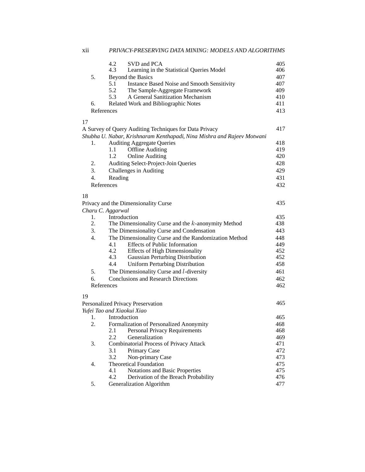|                  | 4.2<br>SVD and PCA                                                     | 405 |
|------------------|------------------------------------------------------------------------|-----|
|                  | 4.3<br>Learning in the Statistical Queries Model                       | 406 |
| 5.               | Beyond the Basics                                                      | 407 |
|                  | 5.1<br><b>Instance Based Noise and Smooth Sensitivity</b>              | 407 |
|                  | 5.2<br>The Sample-Aggregate Framework                                  | 409 |
|                  | 5.3<br>A General Sanitization Mechanism                                | 410 |
| 6.               | Related Work and Bibliographic Notes                                   | 411 |
|                  | References                                                             | 413 |
| 17               |                                                                        |     |
|                  | A Survey of Query Auditing Techniques for Data Privacy                 | 417 |
|                  | Shubha U. Nabar, Krishnaram Kenthapadi, Nina Mishra and Rajeev Motwani |     |
| 1.               | <b>Auditing Aggregate Queries</b>                                      | 418 |
|                  | <b>Offline Auditing</b><br>1.1                                         | 419 |
|                  | 1.2<br><b>Online Auditing</b>                                          | 420 |
| 2.               | Auditing Select-Project-Join Queries                                   | 428 |
| 3.               | Challenges in Auditing                                                 | 429 |
| 4.               | Reading                                                                | 431 |
|                  | References                                                             | 432 |
| 18               |                                                                        |     |
|                  | Privacy and the Dimensionality Curse                                   | 435 |
|                  | Charu C. Aggarwal                                                      |     |
| 1.               | Introduction                                                           | 435 |
| 2.               | The Dimensionality Curse and the $k$ -anonymity Method                 | 438 |
| 3.               | The Dimensionality Curse and Condensation                              | 443 |
| $\overline{4}$ . | The Dimensionality Curse and the Randomization Method                  | 448 |
|                  | <b>Effects of Public Information</b><br>4.1                            | 449 |
|                  | 4.2<br><b>Effects of High Dimensionality</b>                           | 452 |
|                  | Gaussian Perturbing Distribution<br>4.3                                | 452 |
|                  | 4.4<br><b>Uniform Perturbing Distribution</b>                          | 458 |
| 5.               | The Dimensionality Curse and $l$ -diversity                            | 461 |
| б.               | <b>Conclusions and Research Directions</b>                             | 462 |
|                  | References                                                             | 462 |
|                  |                                                                        |     |
| 19               |                                                                        |     |
|                  | Personalized Privacy Preservation                                      | 465 |
|                  | Yufei Tao and Xiaokui Xiao                                             |     |
| 1.               | Introduction                                                           | 465 |
| 2.               | Formalization of Personalized Anonymity                                | 468 |
|                  | 2.1<br>Personal Privacy Requirements                                   | 468 |
|                  | 2.2<br>Generalization                                                  | 469 |
| 3.               | <b>Combinatorial Process of Privacy Attack</b>                         | 471 |
|                  | 3.1<br>Primary Case                                                    | 472 |
|                  | 3.2<br>Non-primary Case                                                | 473 |
| 4.               | <b>Theoretical Foundation</b>                                          | 475 |
|                  | Notations and Basic Properties<br>4.1                                  | 475 |
|                  | 4.2<br>Derivation of the Breach Probability                            | 476 |
| 5.               | Generalization Algorithm                                               | 477 |